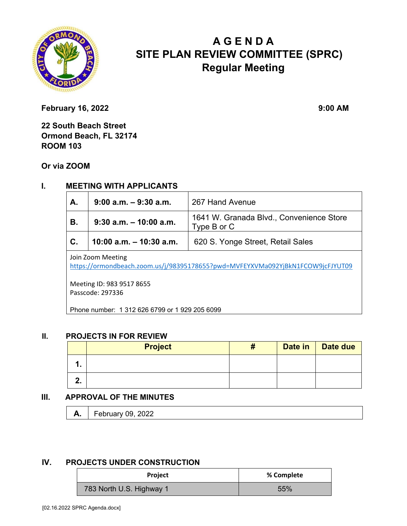

# **A G E N D A SITE PLAN REVIEW COMMITTEE (SPRC) Regular Meeting**

**February 16, 2022** 9:00 AM

**22 South Beach Street Ormond Beach, FL 32174 ROOM 103** 

**Or via ZOOM**

## **I. MEETING WITH APPLICANTS**

| A.                | $9:00$ a.m. $-9:30$ a.m.  | 267 Hand Avenue                                         |  |  |
|-------------------|---------------------------|---------------------------------------------------------|--|--|
| В.                | $9:30$ a.m. $-10:00$ a.m. | 1641 W. Granada Blvd., Convenience Store<br>Type B or C |  |  |
| $\mathbf{C}$ .    | 10:00 a.m. $-$ 10:30 a.m. | 620 S. Yonge Street, Retail Sales                       |  |  |
| Join Zoom Meeting |                           |                                                         |  |  |

https://ormondbeach.zoom.us/j/98395178655?pwd=MVFEYXVMa092YjBkN1FCOW9jcFJYUT09

Meeting ID: 983 9517 8655 Passcode: 297336

Phone number: 1 312 626 6799 or 1 929 205 6099

#### **II. PROJECTS IN FOR REVIEW**

|          | <b>Project</b> | Ħ | Date in | Date due |
|----------|----------------|---|---------|----------|
|          |                |   |         |          |
| C<br>. . |                |   |         |          |

### **III. APPROVAL OF THE MINUTES**

| "<br>л. | $\overline{\phantom{0}}$<br>. .<br>LVLL<br><u>,</u> vuruur |  |
|---------|------------------------------------------------------------|--|
|---------|------------------------------------------------------------|--|

#### **IV. PROJECTS UNDER CONSTRUCTION**

| <b>Project</b>           | % Complete |  |
|--------------------------|------------|--|
| 783 North U.S. Highway 1 | 55%        |  |